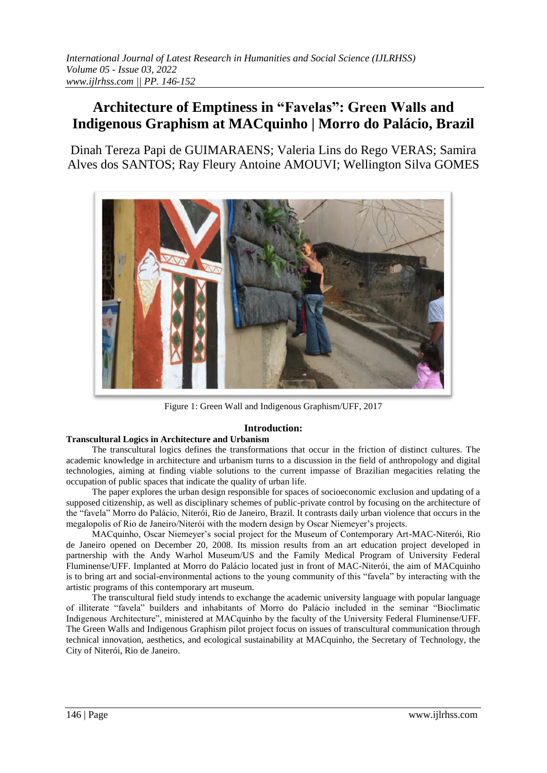# **Architecture of Emptiness in "Favelas": Green Walls and Indigenous Graphism at MACquinho | Morro do Palácio, Brazil**

Dinah Tereza Papi de GUIMARAENS; Valeria Lins do Rego VERAS; Samira Alves dos SANTOS; Ray Fleury Antoine AMOUVI; Wellington Silva GOMES



Figure 1: Green Wall and Indigenous Graphism/UFF, 2017

# **Introduction:**

## **Transcultural Logics in Architecture and Urbanism**

The transcultural logics defines the transformations that occur in the friction of distinct cultures. The academic knowledge in architecture and urbanism turns to a discussion in the field of anthropology and digital technologies, aiming at finding viable solutions to the current impasse of Brazilian megacities relating the occupation of public spaces that indicate the quality of urban life.

The paper explores the urban design responsible for spaces of socioeconomic exclusion and updating of a supposed citizenship, as well as disciplinary schemes of public-private control by focusing on the architecture of the "favela" Morro do Palácio, Niterói, Rio de Janeiro, Brazil. It contrasts daily urban violence that occurs in the megalopolis of Rio de Janeiro/Niterói with the modern design by Oscar Niemeyer's projects.

MACquinho, Oscar Niemeyer's social project for the Museum of Contemporary Art-MAC-Niterói, Rio de Janeiro opened on December 20, 2008. Its mission results from an art education project developed in partnership with the Andy Warhol Museum/US and the Family Medical Program of University Federal Fluminense/UFF. Implanted at Morro do Palácio located just in front of MAC-Niterói, the aim of MACquinho is to bring art and social-environmental actions to the young community of this "favela" by interacting with the artistic programs of this contemporary art museum.

The transcultural field study intends to exchange the academic university language with popular language of illiterate "favela" builders and inhabitants of Morro do Palácio included in the seminar "Bioclimatic Indigenous Architecture", ministered at MACquinho by the faculty of the University Federal Fluminense/UFF. The Green Walls and Indigenous Graphism pilot project focus on issues of transcultural communication through technical innovation, aesthetics, and ecological sustainability at MACquinho, the Secretary of Technology, the City of Niterói, Rio de Janeiro.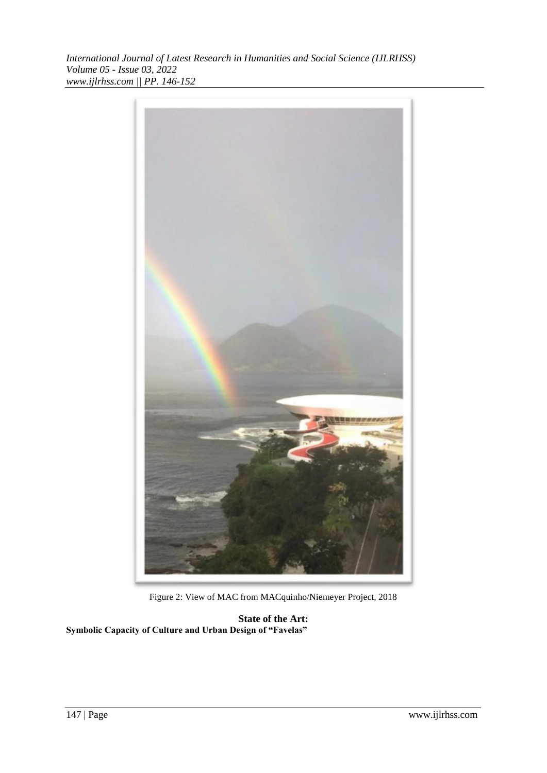*International Journal of Latest Research in Humanities and Social Science (IJLRHSS) Volume 05 - Issue 03, 2022 www.ijlrhss.com || PP. 146-152*



Figure 2: View of MAC from MACquinho/Niemeyer Project, 2018

**State of the Art: Symbolic Capacity of Culture and Urban Design of "Favelas"**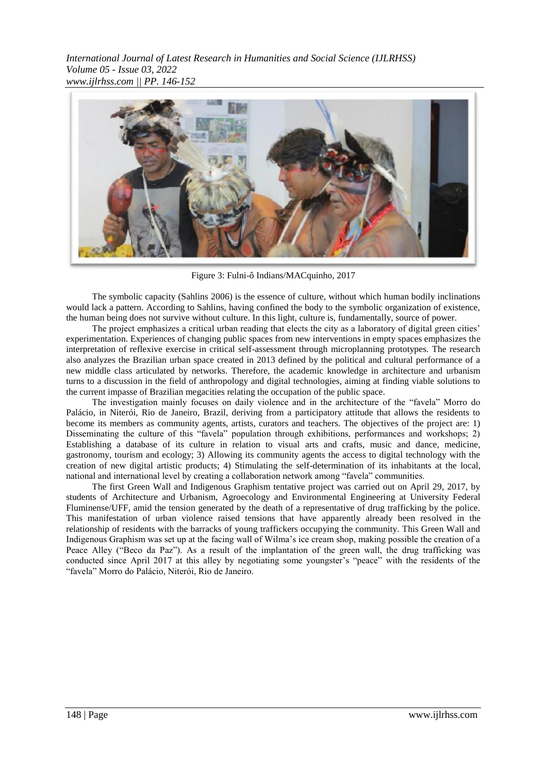

Figure 3: Fulni-ô Indians/MACquinho, 2017

The symbolic capacity (Sahlins 2006) is the essence of culture, without which human bodily inclinations would lack a pattern. According to Sahlins, having confined the body to the symbolic organization of existence, the human being does not survive without culture. In this light, culture is, fundamentally, source of power.

The project emphasizes a critical urban reading that elects the city as a laboratory of digital green cities' experimentation. Experiences of changing public spaces from new interventions in empty spaces emphasizes the interpretation of reflexive exercise in critical self-assessment through microplanning prototypes. The research also analyzes the Brazilian urban space created in 2013 defined by the political and cultural performance of a new middle class articulated by networks. Therefore, the academic knowledge in architecture and urbanism turns to a discussion in the field of anthropology and digital technologies, aiming at finding viable solutions to the current impasse of Brazilian megacities relating the occupation of the public space.

The investigation mainly focuses on daily violence and in the architecture of the "favela" Morro do Palácio, in Niterói, Rio de Janeiro, Brazil, deriving from a participatory attitude that allows the residents to become its members as community agents, artists, curators and teachers. The objectives of the project are: 1) Disseminating the culture of this "favela" population through exhibitions, performances and workshops; 2) Establishing a database of its culture in relation to visual arts and crafts, music and dance, medicine, gastronomy, tourism and ecology; 3) Allowing its community agents the access to digital technology with the creation of new digital artistic products; 4) Stimulating the self-determination of its inhabitants at the local, national and international level by creating a collaboration network among "favela" communities.

The first Green Wall and Indigenous Graphism tentative project was carried out on April 29, 2017, by students of Architecture and Urbanism, Agroecology and Environmental Engineering at University Federal Fluminense/UFF, amid the tension generated by the death of a representative of drug trafficking by the police. This manifestation of urban violence raised tensions that have apparently already been resolved in the relationship of residents with the barracks of young traffickers occupying the community. This Green Wall and Indigenous Graphism was set up at the facing wall of Wilma's ice cream shop, making possible the creation of a Peace Alley ("Beco da Paz"). As a result of the implantation of the green wall, the drug trafficking was conducted since April 2017 at this alley by negotiating some youngster's "peace" with the residents of the "favela" Morro do Palácio, Niterói, Rio de Janeiro.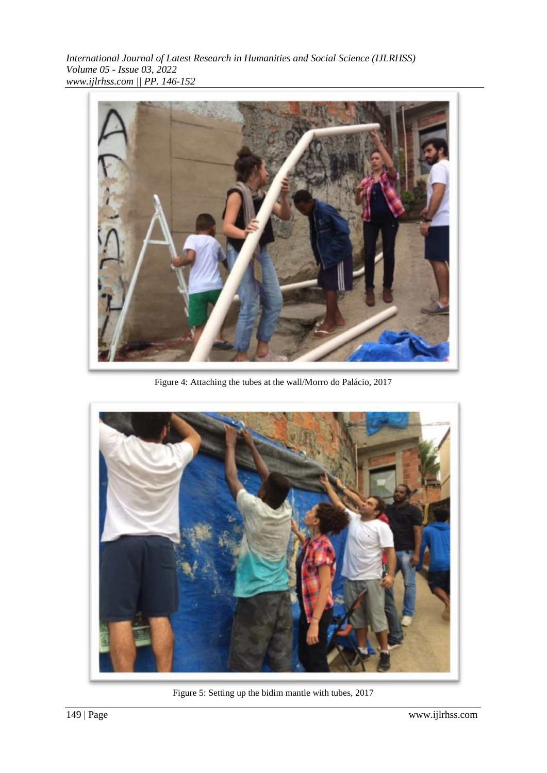*International Journal of Latest Research in Humanities and Social Science (IJLRHSS) Volume 05 - Issue 03, 2022 www.ijlrhss.com || PP. 146-152*



Figure 4: Attaching the tubes at the wall/Morro do Palácio, 2017



Figure 5: Setting up the bidim mantle with tubes, 2017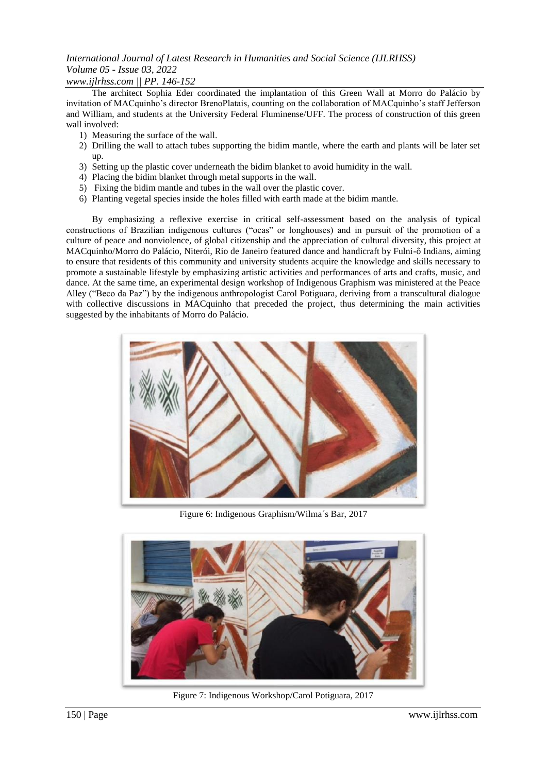# *International Journal of Latest Research in Humanities and Social Science (IJLRHSS) Volume 05 - Issue 03, 2022*

## *www.ijlrhss.com || PP. 146-152*

The architect Sophia Eder coordinated the implantation of this Green Wall at Morro do Palácio by invitation of MACquinho's director BrenoPlatais, counting on the collaboration of MACquinho's staff Jefferson and William, and students at the University Federal Fluminense/UFF. The process of construction of this green wall involved:

- 1) Measuring the surface of the wall.
- 2) Drilling the wall to attach tubes supporting the bidim mantle, where the earth and plants will be later set up.
- 3) Setting up the plastic cover underneath the bidim blanket to avoid humidity in the wall.
- 4) Placing the bidim blanket through metal supports in the wall.
- 5) Fixing the bidim mantle and tubes in the wall over the plastic cover.
- 6) Planting vegetal species inside the holes filled with earth made at the bidim mantle.

By emphasizing a reflexive exercise in critical self-assessment based on the analysis of typical constructions of Brazilian indigenous cultures ("ocas" or longhouses) and in pursuit of the promotion of a culture of peace and nonviolence, of global citizenship and the appreciation of cultural diversity, this project at MACquinho/Morro do Palácio, Niterói, Rio de Janeiro featured dance and handicraft by Fulni-ô Indians, aiming to ensure that residents of this community and university students acquire the knowledge and skills necessary to promote a sustainable lifestyle by emphasizing artistic activities and performances of arts and crafts, music, and dance. At the same time, an experimental design workshop of Indigenous Graphism was ministered at the Peace Alley ("Beco da Paz") by the indigenous anthropologist Carol Potiguara, deriving from a transcultural dialogue with collective discussions in MACquinho that preceded the project, thus determining the main activities suggested by the inhabitants of Morro do Palácio.



Figure 6: Indigenous Graphism/Wilma´s Bar, 2017



Figure 7: Indigenous Workshop/Carol Potiguara, 2017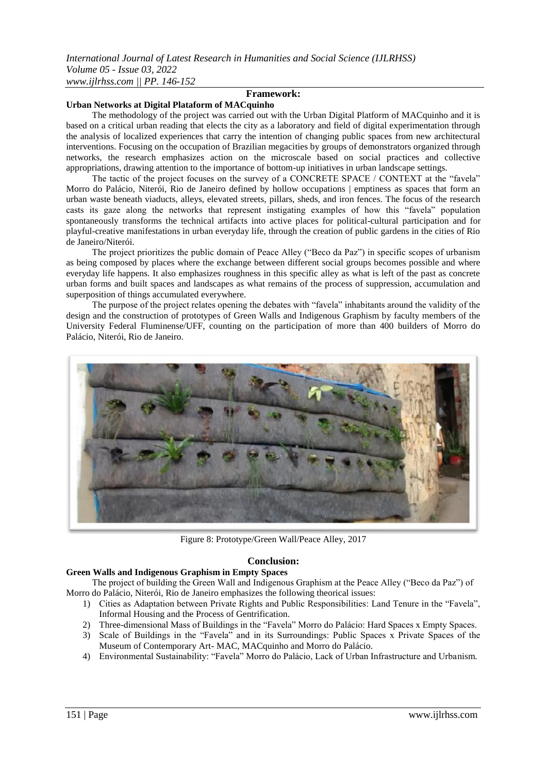#### **Framework:**

#### **Urban Networks at Digital Plataform of MACquinho**

The methodology of the project was carried out with the Urban Digital Platform of MACquinho and it is based on a critical urban reading that elects the city as a laboratory and field of digital experimentation through the analysis of localized experiences that carry the intention of changing public spaces from new architectural interventions. Focusing on the occupation of Brazilian megacities by groups of demonstrators organized through networks, the research emphasizes action on the microscale based on social practices and collective appropriations, drawing attention to the importance of bottom-up initiatives in urban landscape settings.

The tactic of the project focuses on the survey of a CONCRETE SPACE / CONTEXT at the "favela" Morro do Palácio, Niterói, Rio de Janeiro defined by hollow occupations | emptiness as spaces that form an urban waste beneath viaducts, alleys, elevated streets, pillars, sheds, and iron fences. The focus of the research casts its gaze along the networks that represent instigating examples of how this "favela" population spontaneously transforms the technical artifacts into active places for political-cultural participation and for playful-creative manifestations in urban everyday life, through the creation of public gardens in the cities of Rio de Janeiro/Niterói.

The project prioritizes the public domain of Peace Alley ("Beco da Paz") in specific scopes of urbanism as being composed by places where the exchange between different social groups becomes possible and where everyday life happens. It also emphasizes roughness in this specific alley as what is left of the past as concrete urban forms and built spaces and landscapes as what remains of the process of suppression, accumulation and superposition of things accumulated everywhere.

The purpose of the project relates opening the debates with "favela" inhabitants around the validity of the design and the construction of prototypes of Green Walls and Indigenous Graphism by faculty members of the University Federal Fluminense/UFF, counting on the participation of more than 400 builders of Morro do Palácio, Niterói, Rio de Janeiro.



Figure 8: Prototype/Green Wall/Peace Alley, 2017

#### **Conclusion:**

#### **Green Walls and Indigenous Graphism in Empty Spaces**

The project of building the Green Wall and Indigenous Graphism at the Peace Alley ("Beco da Paz") of Morro do Palácio, Niterói, Rio de Janeiro emphasizes the following theorical issues:

- 1) Cities as Adaptation between Private Rights and Public Responsibilities: Land Tenure in the "Favela", Informal Housing and the Process of Gentrification.
- 2) Three-dimensional Mass of Buildings in the "Favela" Morro do Palácio: Hard Spaces x Empty Spaces.
- 3) Scale of Buildings in the "Favela" and in its Surroundings: Public Spaces x Private Spaces of the Museum of Contemporary Art- MAC, MACquinho and Morro do Palácio.
- 4) Environmental Sustainability: "Favela" Morro do Palácio, Lack of Urban Infrastructure and Urbanism.